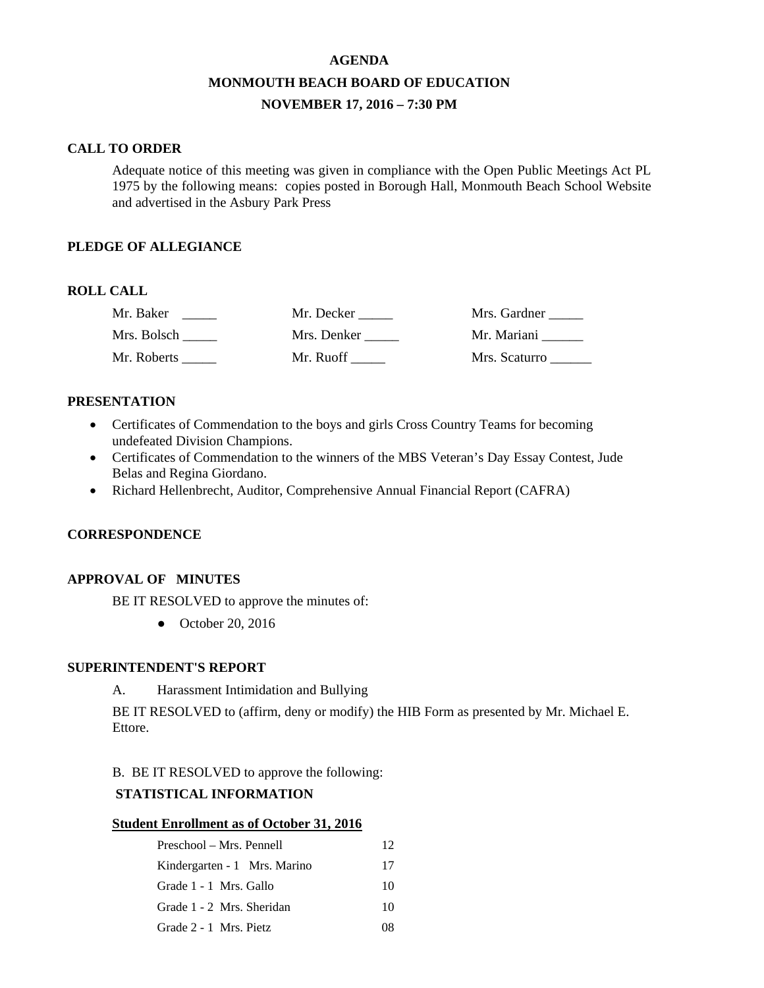# **AGENDA MONMOUTH BEACH BOARD OF EDUCATION NOVEMBER 17, 2016 – 7:30 PM**

#### **CALL TO ORDER**

Adequate notice of this meeting was given in compliance with the Open Public Meetings Act PL 1975 by the following means: copies posted in Borough Hall, Monmouth Beach School Website and advertised in the Asbury Park Press

# **PLEDGE OF ALLEGIANCE**

# **ROLL CALL**

| Mr. Baker   | Mr. Decker  | Mrs. Gardner  |
|-------------|-------------|---------------|
| Mrs. Bolsch | Mrs. Denker | Mr. Mariani   |
| Mr. Roberts | Mr. Ruoff   | Mrs. Scaturro |

# **PRESENTATION**

- Certificates of Commendation to the boys and girls Cross Country Teams for becoming undefeated Division Champions.
- Certificates of Commendation to the winners of the MBS Veteran's Day Essay Contest, Jude Belas and Regina Giordano.
- Richard Hellenbrecht, Auditor, Comprehensive Annual Financial Report (CAFRA)

# **CORRESPONDENCE**

# **APPROVAL OF MINUTES**

BE IT RESOLVED to approve the minutes of:

● October 20, 2016

# **SUPERINTENDENT'S REPORT**

A. Harassment Intimidation and Bullying

BE IT RESOLVED to (affirm, deny or modify) the HIB Form as presented by Mr. Michael E. Ettore.

## B. BE IT RESOLVED to approve the following:

#### **STATISTICAL INFORMATION**

#### **Student Enrollment as of October 31, 2016**

| Preschool – Mrs. Pennell     | 12 |
|------------------------------|----|
| Kindergarten - 1 Mrs. Marino | 17 |
| Grade 1 - 1 Mrs. Gallo       | 10 |
| Grade 1 - 2 Mrs. Sheridan    | 10 |
| Grade 2 - 1 Mrs. Pietz       | 08 |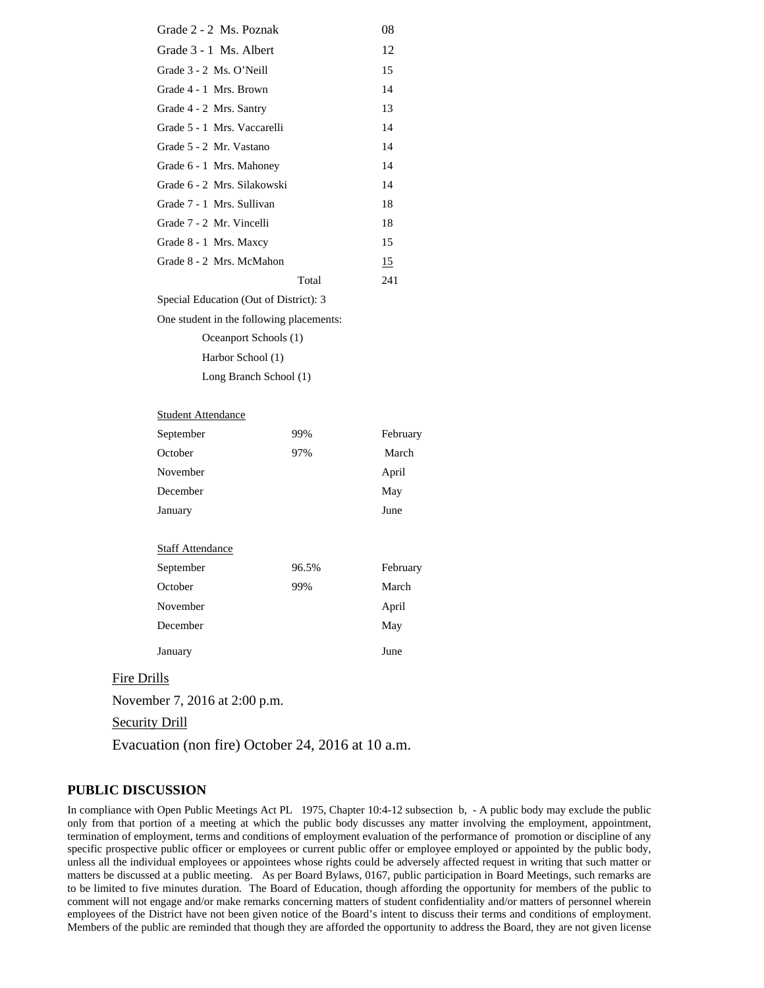| Grade 2 - 2 Ms. Poznak                   | 08  |
|------------------------------------------|-----|
| Grade 3 - 1 Ms. Albert                   | 12  |
| Grade 3 - 2 Ms. O'Neill                  | 15  |
| Grade 4 - 1 Mrs. Brown                   | 14  |
| Grade 4 - 2 Mrs. Santry                  | 13  |
| Grade 5 - 1 Mrs. Vaccarelli              | 14  |
| Grade 5 - 2 Mr. Vastano                  | 14  |
| Grade 6 - 1 Mrs. Mahoney                 | 14  |
| Grade 6 - 2 Mrs. Silakowski              | 14  |
| Grade 7 - 1 Mrs. Sullivan                | 18  |
| Grade 7 - 2 Mr. Vincelli                 | 18  |
| Grade 8 - 1 Mrs. Maxcy                   | 15  |
| Grade 8 - 2 Mrs. McMahon                 | 15  |
| Total                                    | 241 |
| Special Education (Out of District): 3   |     |
| One student in the following placements: |     |

Oceanport Schools (1) Harbor School (1) Long Branch School (1)

| <b>Student Attendance</b> |       |          |
|---------------------------|-------|----------|
| September                 | 99%   | February |
| October                   | 97%   | March    |
| November                  |       | April    |
| December                  |       | May      |
| January                   |       | June     |
|                           |       |          |
| <b>Staff Attendance</b>   |       |          |
| September                 | 96.5% | February |
| October                   | 99%   | March    |
| November                  |       | April    |
| December                  |       | May      |
| January                   |       | June     |

#### Fire Drills

November 7, 2016 at 2:00 p.m.

#### Security Drill

Evacuation (non fire) October 24, 2016 at 10 a.m.

#### **PUBLIC DISCUSSION**

In compliance with Open Public Meetings Act PL 1975, Chapter 10:4-12 subsection b, - A public body may exclude the public only from that portion of a meeting at which the public body discusses any matter involving the employment, appointment, termination of employment, terms and conditions of employment evaluation of the performance of promotion or discipline of any specific prospective public officer or employees or current public offer or employee employed or appointed by the public body, unless all the individual employees or appointees whose rights could be adversely affected request in writing that such matter or matters be discussed at a public meeting. As per Board Bylaws, 0167, public participation in Board Meetings, such remarks are to be limited to five minutes duration. The Board of Education, though affording the opportunity for members of the public to comment will not engage and/or make remarks concerning matters of student confidentiality and/or matters of personnel wherein employees of the District have not been given notice of the Board's intent to discuss their terms and conditions of employment. Members of the public are reminded that though they are afforded the opportunity to address the Board, they are not given license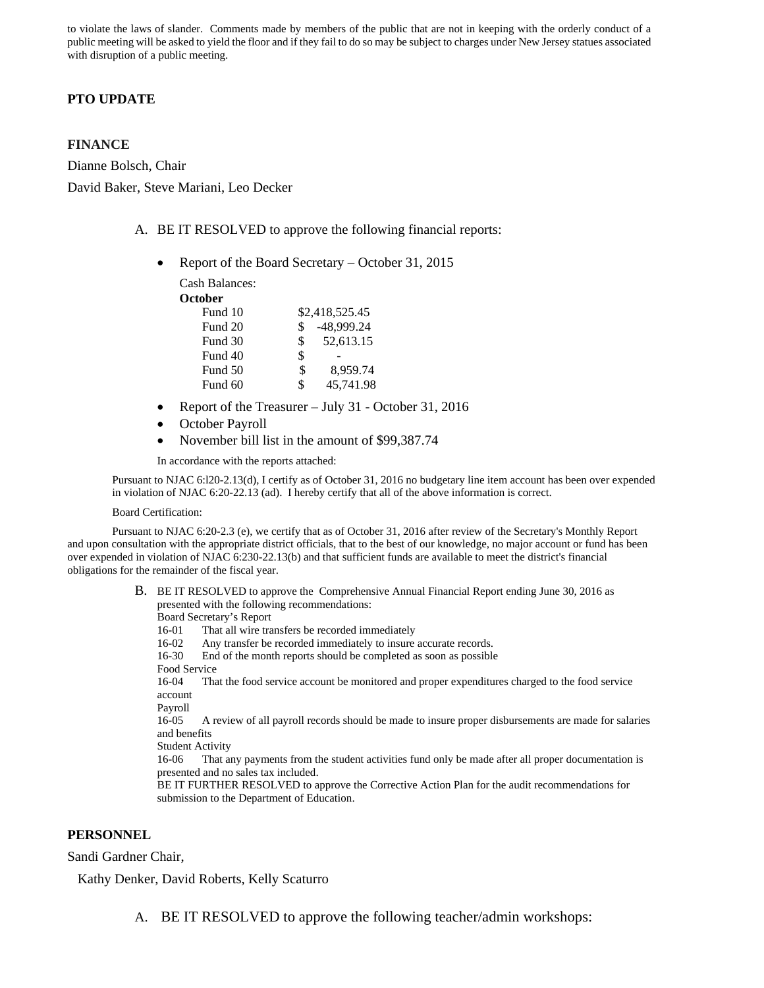to violate the laws of slander. Comments made by members of the public that are not in keeping with the orderly conduct of a public meeting will be asked to yield the floor and if they fail to do so may be subject to charges under New Jersey statues associated with disruption of a public meeting.

# **PTO UPDATE**

### **FINANCE**

Dianne Bolsch, Chair David Baker, Steve Mariani, Leo Decker

- A. BE IT RESOLVED to approve the following financial reports:
	- Report of the Board Secretary October 31, 2015

Cash Balances: **October** Fund 10 \$2,418,525.45 Fund 20 \$ -48,999.24 Fund 30 \$ 52,613.15 Fund 40 \$ Fund 50 \$ 8,959.74<br>Fund 60 \$ 45.741.98 45,741.98

- Report of the Treasurer July 31 October 31, 2016
- October Payroll
- November bill list in the amount of \$99,387.74

In accordance with the reports attached:

Pursuant to NJAC 6:l20-2.13(d), I certify as of October 31, 2016 no budgetary line item account has been over expended in violation of NJAC 6:20-22.13 (ad). I hereby certify that all of the above information is correct.

#### Board Certification:

Pursuant to NJAC 6:20-2.3 (e), we certify that as of October 31, 2016 after review of the Secretary's Monthly Report and upon consultation with the appropriate district officials, that to the best of our knowledge, no major account or fund has been over expended in violation of NJAC 6:230-22.13(b) and that sufficient funds are available to meet the district's financial obligations for the remainder of the fiscal year.

> B. BE IT RESOLVED to approve the Comprehensive Annual Financial Report ending June 30, 2016 as presented with the following recommendations: Board Secretary's Report

16-01 That all wire transfers be recorded immediately

- 16-02 Any transfer be recorded immediately to insure accurate records.
- 16-30 End of the month reports should be completed as soon as possible
- Food Service

16-04 That the food service account be monitored and proper expenditures charged to the food service account

Payroll

16-05 A review of all payroll records should be made to insure proper disbursements are made for salaries and benefits

Student Activity

16-06 That any payments from the student activities fund only be made after all proper documentation is presented and no sales tax included.

BE IT FURTHER RESOLVED to approve the Corrective Action Plan for the audit recommendations for submission to the Department of Education.

#### **PERSONNEL**

Sandi Gardner Chair,

Kathy Denker, David Roberts, Kelly Scaturro

A. BE IT RESOLVED to approve the following teacher/admin workshops: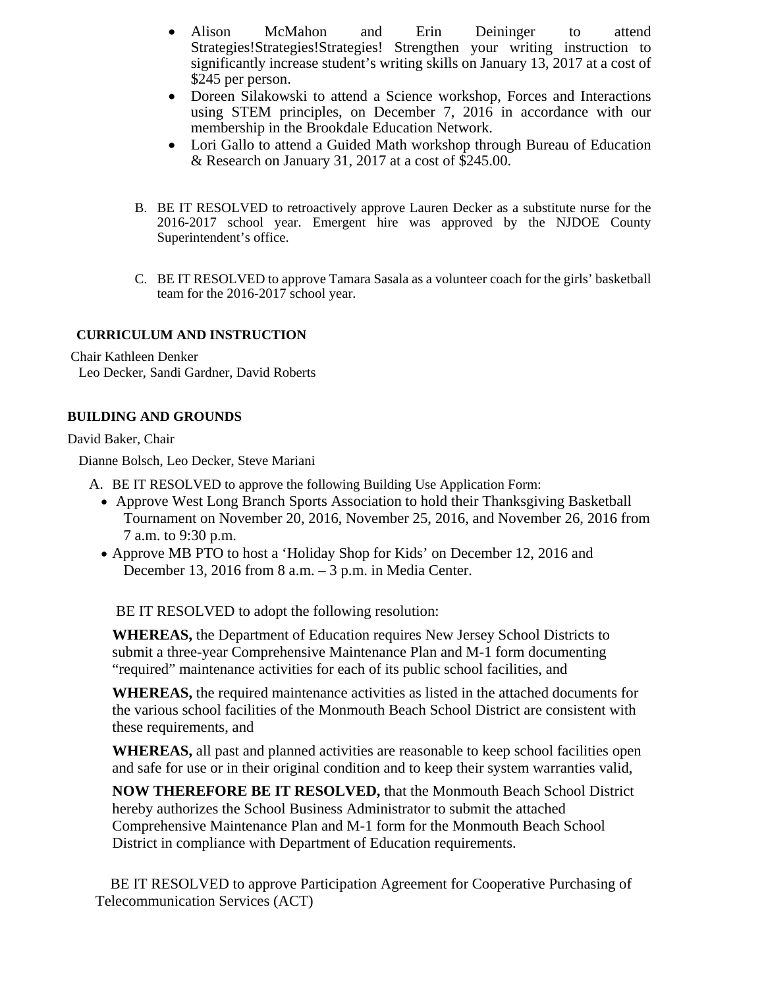- Alison McMahon and Erin Deininger to attend Strategies!Strategies!Strategies! Strengthen your writing instruction to significantly increase student's writing skills on January 13, 2017 at a cost of \$245 per person.
- Doreen Silakowski to attend a Science workshop, Forces and Interactions using STEM principles, on December 7, 2016 in accordance with our membership in the Brookdale Education Network.
- Lori Gallo to attend a Guided Math workshop through Bureau of Education & Research on January 31, 2017 at a cost of \$245.00.
- B. BE IT RESOLVED to retroactively approve Lauren Decker as a substitute nurse for the 2016-2017 school year. Emergent hire was approved by the NJDOE County Superintendent's office.
- C. BE IT RESOLVED to approve Tamara Sasala as a volunteer coach for the girls' basketball team for the 2016-2017 school year.

# **CURRICULUM AND INSTRUCTION**

Chair Kathleen Denker Leo Decker, Sandi Gardner, David Roberts

# **BUILDING AND GROUNDS**

David Baker, Chair

Dianne Bolsch, Leo Decker, Steve Mariani

- A. BE IT RESOLVED to approve the following Building Use Application Form:
	- Approve West Long Branch Sports Association to hold their Thanksgiving Basketball Tournament on November 20, 2016, November 25, 2016, and November 26, 2016 from 7 a.m. to 9:30 p.m.
	- Approve MB PTO to host a 'Holiday Shop for Kids' on December 12, 2016 and December 13, 2016 from 8 a.m. – 3 p.m. in Media Center.

BE IT RESOLVED to adopt the following resolution:

**WHEREAS,** the Department of Education requires New Jersey School Districts to submit a three-year Comprehensive Maintenance Plan and M-1 form documenting "required" maintenance activities for each of its public school facilities, and

**WHEREAS,** the required maintenance activities as listed in the attached documents for the various school facilities of the Monmouth Beach School District are consistent with these requirements, and

**WHEREAS,** all past and planned activities are reasonable to keep school facilities open and safe for use or in their original condition and to keep their system warranties valid,

**NOW THEREFORE BE IT RESOLVED,** that the Monmouth Beach School District hereby authorizes the School Business Administrator to submit the attached Comprehensive Maintenance Plan and M-1 form for the Monmouth Beach School District in compliance with Department of Education requirements.

 BE IT RESOLVED to approve Participation Agreement for Cooperative Purchasing of Telecommunication Services (ACT)